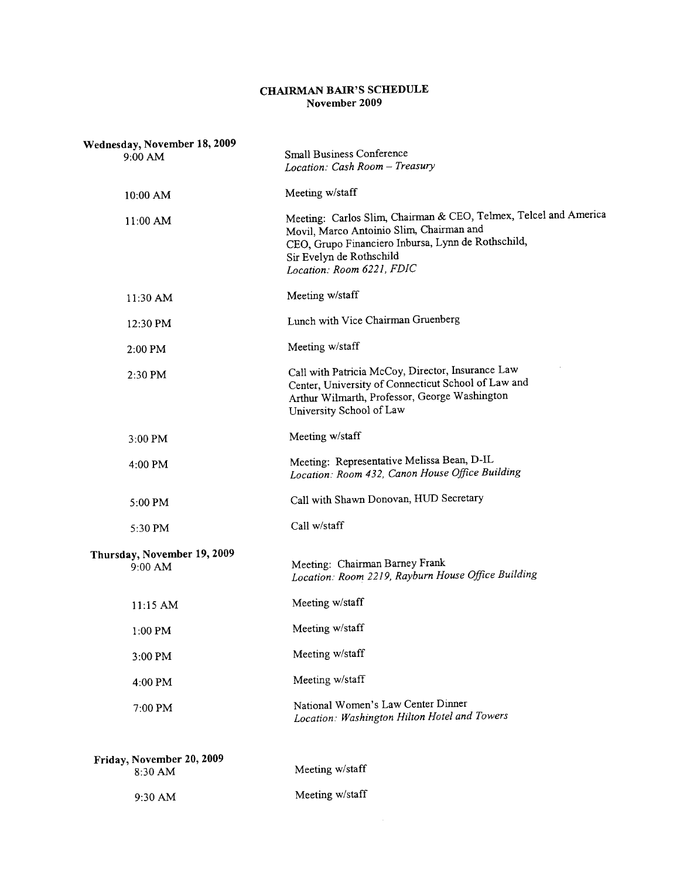## CHAIRMAN BAIR'S SCHEDULE November 2009

| Wednesday, November 18, 2009             |                                                                                                                                                                                                                             |
|------------------------------------------|-----------------------------------------------------------------------------------------------------------------------------------------------------------------------------------------------------------------------------|
| 9:00 AM                                  | Small Business Conference<br>Location: Cash Room - Treasury                                                                                                                                                                 |
| 10:00 AM                                 | Meeting w/staff                                                                                                                                                                                                             |
| $11:00$ AM                               | Meeting: Carlos Slim, Chairman & CEO, Telmex, Telcel and America<br>Movil, Marco Antoinio Slim, Chairman and<br>CEO, Grupo Financiero Inbursa, Lynn de Rothschild,<br>Sir Evelyn de Rothschild<br>Location: Room 6221, FDIC |
| 11:30 AM                                 | Meeting w/staff                                                                                                                                                                                                             |
| 12:30 PM                                 | Lunch with Vice Chairman Gruenberg                                                                                                                                                                                          |
| 2:00 PM                                  | Meeting w/staff                                                                                                                                                                                                             |
| 2:30 PM                                  | Call with Patricia McCoy, Director, Insurance Law<br>Center, University of Connecticut School of Law and<br>Arthur Wilmarth, Professor, George Washington<br>University School of Law                                       |
| 3:00 PM                                  | Meeting w/staff                                                                                                                                                                                                             |
| 4:00 PM                                  | Meeting: Representative Melissa Bean, D-IL<br>Location: Room 432, Canon House Office Building                                                                                                                               |
| 5:00 PM                                  | Call with Shawn Donovan, HUD Secretary                                                                                                                                                                                      |
| 5:30 PM                                  | Call w/staff                                                                                                                                                                                                                |
| Thursday, November 19, 2009<br>$9:00$ AM | Meeting: Chairman Barney Frank<br>Location: Room 2219, Rayburn House Office Building                                                                                                                                        |
| 11:15 AM                                 | Meeting w/staff                                                                                                                                                                                                             |
| $1:00$ PM                                | Meeting w/staff                                                                                                                                                                                                             |
| 3:00 PM                                  | Meeting w/staff                                                                                                                                                                                                             |
| 4:00 PM                                  | Meeting w/staff                                                                                                                                                                                                             |
| 7:00 PM                                  | National Women's Law Center Dinner<br>Location: Washington Hilton Hotel and Towers                                                                                                                                          |
| Friday, November 20, 2009<br>8:30 AM     | Meeting w/staff                                                                                                                                                                                                             |
| 9:30 AM                                  | Meeting w/staff                                                                                                                                                                                                             |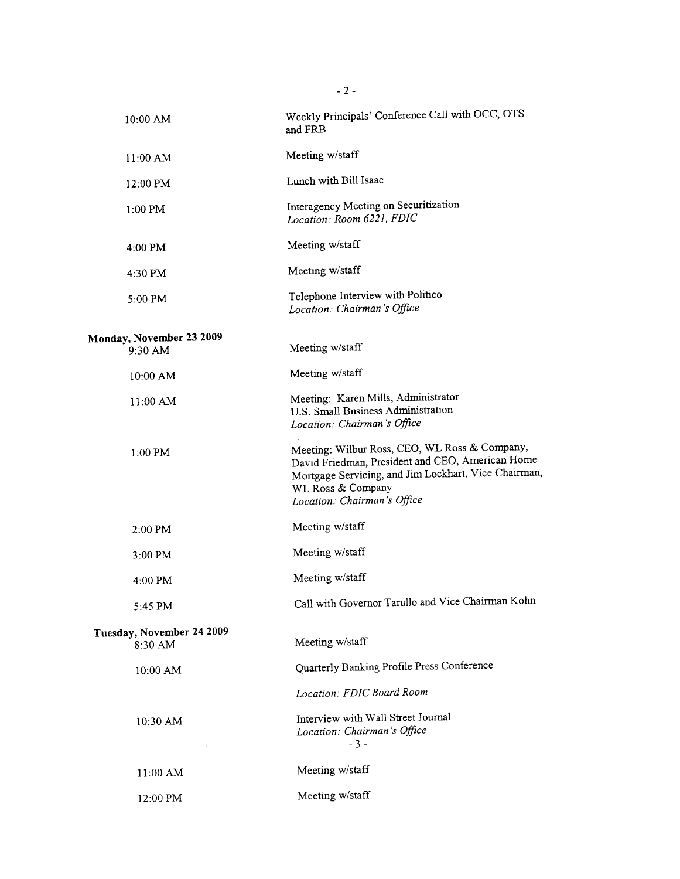| $10:00$ AM                           | Weekly Principals' Conference Call with OCC, OTS<br>and FRB                                                                                                                                                   |
|--------------------------------------|---------------------------------------------------------------------------------------------------------------------------------------------------------------------------------------------------------------|
| 11:00 AM                             | Meeting w/staff                                                                                                                                                                                               |
| 12:00 PM                             | Lunch with Bill Isaac                                                                                                                                                                                         |
| 1:00 PM                              | Interagency Meeting on Securitization<br>Location: Room 6221, FDIC                                                                                                                                            |
| $4:00$ PM                            | Meeting w/staff                                                                                                                                                                                               |
| 4:30 PM                              | Meeting w/staff                                                                                                                                                                                               |
| 5:00 PM                              | Telephone Interview with Politico<br>Location: Chairman's Office                                                                                                                                              |
| <b>Monday, November 23 2009</b>      |                                                                                                                                                                                                               |
| 9:30 AM                              | Meeting w/staff                                                                                                                                                                                               |
| 10:00 AM                             | Meeting w/staff                                                                                                                                                                                               |
| 11:00 AM                             | Meeting: Karen Mills, Administrator<br>U.S. Small Business Administration<br>Location: Chairman's Office                                                                                                      |
| 1:00 PM                              | Meeting: Wilbur Ross, CEO, WL Ross & Company,<br>David Friedman, President and CEO, American Home<br>Mortgage Servicing, and Jim Lockhart, Vice Chairman,<br>WL Ross & Company<br>Location: Chairman's Office |
| 2:00 PM                              | Meeting w/staff                                                                                                                                                                                               |
| $3:00$ PM                            | Meeting w/staff                                                                                                                                                                                               |
| 4:00 PM                              | Meeting w/staff                                                                                                                                                                                               |
| 5:45 PM                              | Call with Governor Tarullo and Vice Chairman Kohn                                                                                                                                                             |
| Tuesday, November 24 2009<br>8:30 AM | Meeting w/staff                                                                                                                                                                                               |
| 10:00 AM                             | Quarterly Banking Profile Press Conference                                                                                                                                                                    |
|                                      | Location: FDIC Board Room                                                                                                                                                                                     |
| 10:30 AM                             | Interview with Wall Street Journal<br>Location: Chairman's Office<br>$-3-$                                                                                                                                    |
| 11:00 AM                             | Meeting w/staff                                                                                                                                                                                               |
| 12:00 PM                             | Meeting w/staff                                                                                                                                                                                               |

- 2 -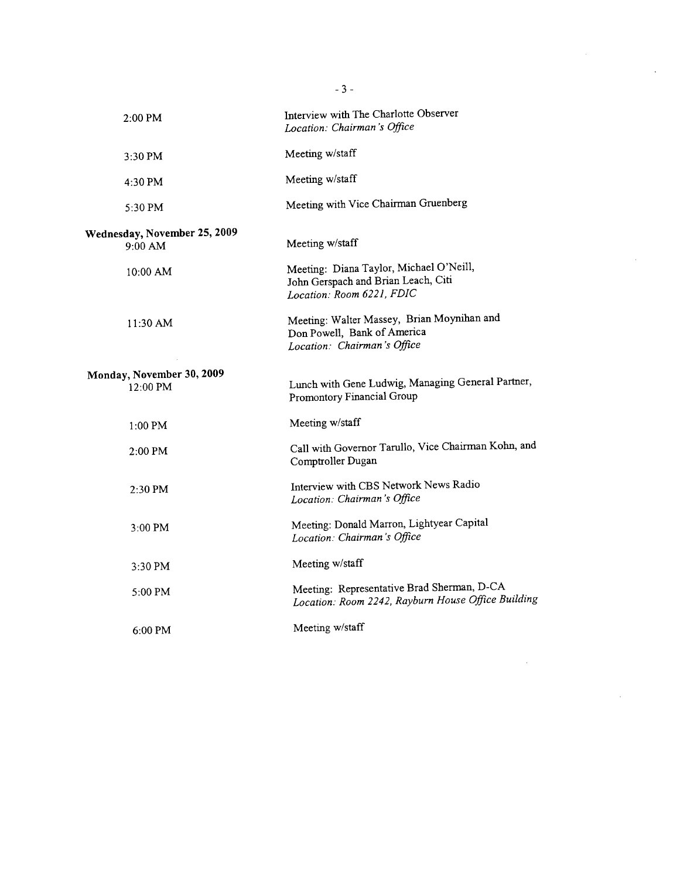| 2:00 PM                                         | Interview with The Charlotte Observer<br>Location: Chairman's Office                                        |
|-------------------------------------------------|-------------------------------------------------------------------------------------------------------------|
| 3:30 PM                                         | Meeting w/staff                                                                                             |
| 4:30 PM                                         | Meeting w/staff                                                                                             |
| 5:30 PM                                         | Meeting with Vice Chairman Gruenberg                                                                        |
| Wednesday, November 25, 2009<br>9:00 AM         | Meeting w/staff                                                                                             |
| 10:00 AM                                        | Meeting: Diana Taylor, Michael O'Neill,<br>John Gerspach and Brian Leach, Citi<br>Location: Room 6221, FDIC |
| 11:30 AM                                        | Meeting: Walter Massey, Brian Moynihan and<br>Don Powell, Bank of America<br>Location: Chairman's Office    |
| Monday, November 30, 2009<br>$12:00 \text{ PM}$ | Lunch with Gene Ludwig, Managing General Partner,<br>Promontory Financial Group                             |
| $1:00$ PM                                       | Meeting w/staff                                                                                             |
| $2:00$ PM                                       | Call with Governor Tarullo, Vice Chairman Kohn, and<br>Comptroller Dugan                                    |
| 2:30 PM                                         | Interview with CBS Network News Radio<br>Location: Chairman's Office                                        |
| 3:00 PM                                         | Meeting: Donald Marron, Lightyear Capital<br>Location: Chairman's Office                                    |
| $3:30 \text{ PM}$                               | Meeting w/staff                                                                                             |
| $5:00$ PM                                       | Meeting: Representative Brad Sherman, D-CA<br>Location: Room 2242, Rayburn House Office Building            |
| $6:00$ PM                                       | Meeting w/staff                                                                                             |

 $\label{eq:2.1} \frac{1}{\sqrt{2}}\int_{\mathbb{R}^3}\frac{1}{\sqrt{2}}\left(\frac{1}{\sqrt{2}}\right)^2\frac{1}{\sqrt{2}}\left(\frac{1}{\sqrt{2}}\right)^2\frac{1}{\sqrt{2}}\left(\frac{1}{\sqrt{2}}\right)^2\frac{1}{\sqrt{2}}\left(\frac{1}{\sqrt{2}}\right)^2.$ 

 $\mathcal{L}^{\text{max}}_{\text{max}}$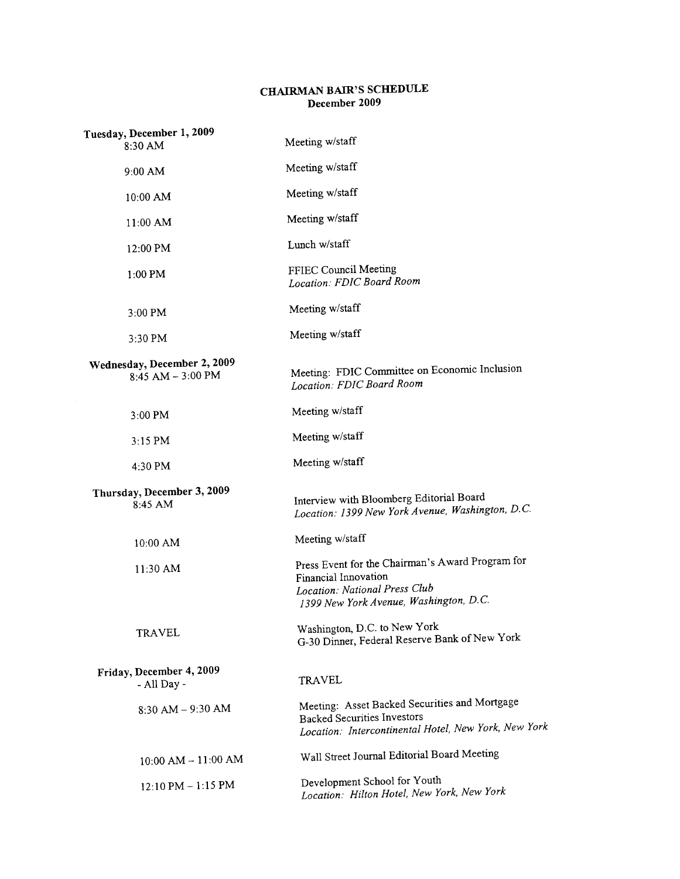## CHAIRMAN BAIR'S SCHEDULE December 2009

| Tuesday, December 1, 2009<br>8:30 AM             | Meeting w/staff                                                                                                                                     |
|--------------------------------------------------|-----------------------------------------------------------------------------------------------------------------------------------------------------|
| 9:00 AM                                          | Meeting w/staff                                                                                                                                     |
| $10:00$ AM                                       | Meeting w/staff                                                                                                                                     |
| $11:00$ AM                                       | Meeting w/staff                                                                                                                                     |
| 12:00 PM                                         | Lunch w/staff                                                                                                                                       |
| $1:00$ PM                                        | FFIEC Council Meeting<br>Location: FDIC Board Room                                                                                                  |
| $3:00$ PM                                        | Meeting w/staff                                                                                                                                     |
| 3:30 PM                                          | Meeting w/staff                                                                                                                                     |
| Wednesday, December 2, 2009<br>8:45 AM - 3:00 PM | Meeting: FDIC Committee on Economic Inclusion<br>Location: FDIC Board Room                                                                          |
| 3:00 PM                                          | Meeting w/staff                                                                                                                                     |
| $3:15$ PM                                        | Meeting w/staff                                                                                                                                     |
| 4:30 PM                                          | Meeting w/staff                                                                                                                                     |
| Thursday, December 3, 2009<br>8:45 AM            | Interview with Bloomberg Editorial Board<br>Location: 1399 New York Avenue, Washington, D.C.                                                        |
| 10:00 AM                                         | Meeting w/staff                                                                                                                                     |
| 11:30 AM                                         | Press Event for the Chairman's Award Program for<br>Financial Innovation<br>Location: National Press Club<br>1399 New York Avenue, Washington, D.C. |
| <b>TRAVEL</b>                                    | Washington, D.C. to New York<br>G-30 Dinner, Federal Reserve Bank of New York                                                                       |
| Friday, December 4, 2009<br>- All Day -          | <b>TRAVEL</b>                                                                                                                                       |
| $8:30$ AM $-$ 9:30 AM                            | Meeting: Asset Backed Securities and Mortgage<br><b>Backed Securities Investors</b><br>Location: Intercontinental Hotel, New York, New York         |
| $10:00$ AM $- 11:00$ AM                          | Wall Street Journal Editorial Board Meeting                                                                                                         |
| 12:10 PM - 1:15 PM                               | Development School for Youth<br>Location: Hilton Hotel, New York, New York                                                                          |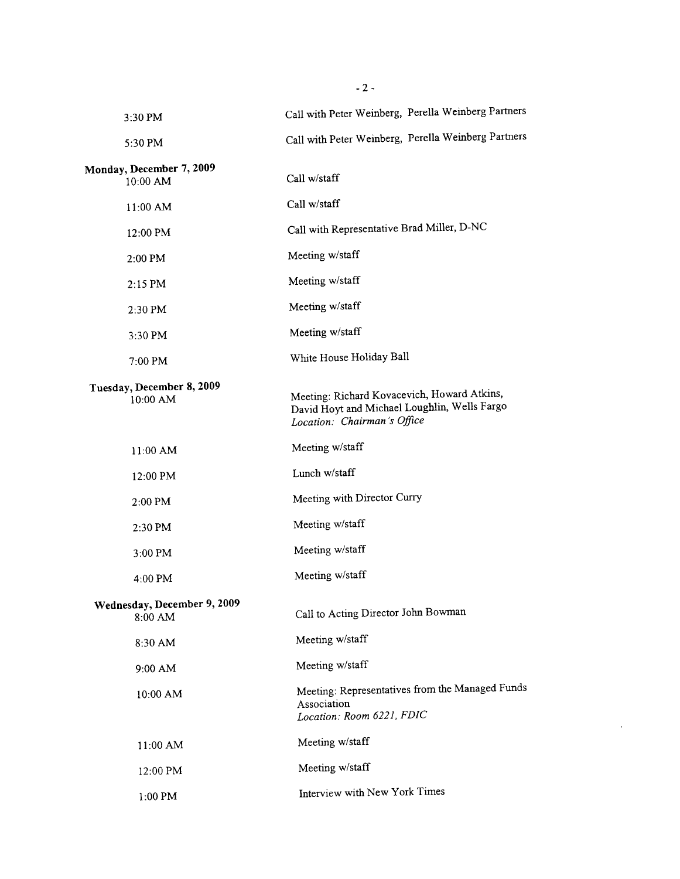| $3:30$ PM                              | Call with Peter Weinberg, Perella Weinberg Partners                                                                        |
|----------------------------------------|----------------------------------------------------------------------------------------------------------------------------|
| 5:30 PM                                | Call with Peter Weinberg, Perella Weinberg Partners                                                                        |
| Monday, December 7, 2009<br>10:00 AM   | Call w/staff                                                                                                               |
| $11:00$ AM                             | Call w/staff                                                                                                               |
| 12:00 PM                               | Call with Representative Brad Miller, D-NC                                                                                 |
| $2:00 \text{ PM}$                      | Meeting w/staff                                                                                                            |
| $2:15$ PM                              | Meeting w/staff                                                                                                            |
| 2:30 PM                                | Meeting w/staff                                                                                                            |
| $3:30$ PM                              | Meeting w/staff                                                                                                            |
| $7:00$ PM                              | White House Holiday Ball                                                                                                   |
| Tuesday, December 8, 2009<br>10:00 AM  | Meeting: Richard Kovacevich, Howard Atkins,<br>David Hoyt and Michael Loughlin, Wells Fargo<br>Location: Chairman's Office |
| 11:00 AM                               | Meeting w/staff                                                                                                            |
| 12:00 PM                               | Lunch w/staff                                                                                                              |
| $2:00$ PM                              | Meeting with Director Curry                                                                                                |
| 2:30 PM                                | Meeting w/staff                                                                                                            |
| $3:00$ PM                              | Meeting w/staff                                                                                                            |
| $4:00 \text{ PM}$                      | Meeting w/staff                                                                                                            |
| Wednesday, December 9, 2009<br>8:00 AM | Call to Acting Director John Bowman                                                                                        |
| 8:30 AM                                | Meeting w/staff                                                                                                            |
| 9:00 AM                                | Meeting w/staff                                                                                                            |
| 10:00 AM                               | Meeting: Representatives from the Managed Funds<br>Association<br>Location: Room 6221, FDIC                                |
| $11:00$ AM                             | Meeting w/staff                                                                                                            |
| 12:00 PM                               | Meeting w/staff                                                                                                            |
| 1:00 PM                                | Interview with New York Times                                                                                              |

 $\sim$ 

 $- 2 -$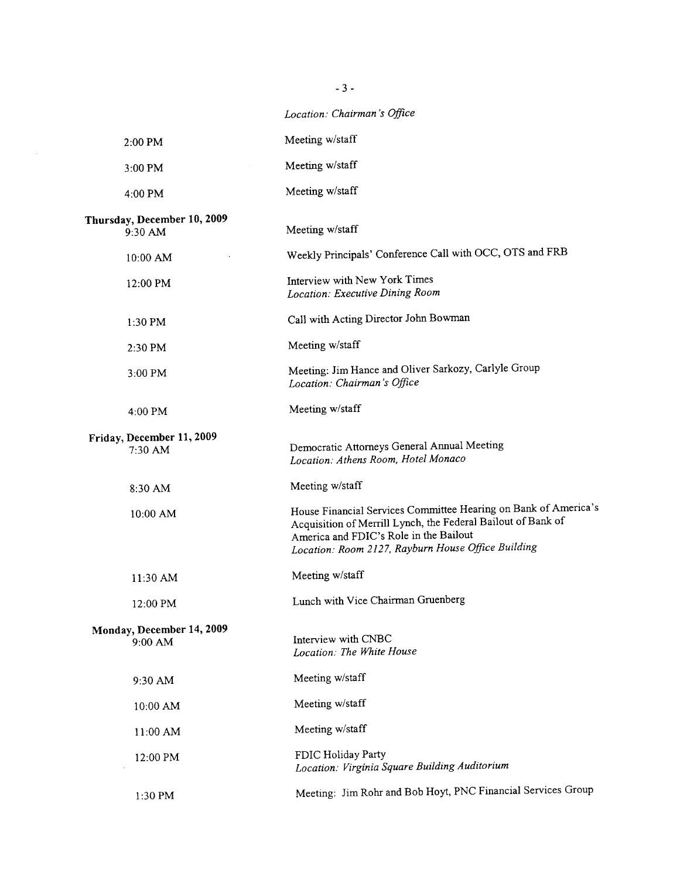|                                        | Location: Chairman's Office                                                                                                                                                                                                     |
|----------------------------------------|---------------------------------------------------------------------------------------------------------------------------------------------------------------------------------------------------------------------------------|
| 2:00 PM                                | Meeting w/staff                                                                                                                                                                                                                 |
| 3:00 PM                                | Meeting w/staff                                                                                                                                                                                                                 |
| 4:00 PM                                | Meeting w/staff                                                                                                                                                                                                                 |
| Thursday, December 10, 2009<br>9:30 AM | Meeting w/staff                                                                                                                                                                                                                 |
| $10:00$ AM                             | Weekly Principals' Conference Call with OCC, OTS and FRB                                                                                                                                                                        |
| 12:00 PM                               | Interview with New York Times<br>Location: Executive Dining Room                                                                                                                                                                |
| 1:30 PM                                | Call with Acting Director John Bowman                                                                                                                                                                                           |
| 2:30 PM                                | Meeting w/staff                                                                                                                                                                                                                 |
| $3:00$ PM                              | Meeting: Jim Hance and Oliver Sarkozy, Carlyle Group<br>Location: Chairman's Office                                                                                                                                             |
| $4:00$ PM                              | Meeting w/staff                                                                                                                                                                                                                 |
| Friday, December 11, 2009<br>7:30 AM   | Democratic Attorneys General Annual Meeting<br>Location: Athens Room, Hotel Monaco                                                                                                                                              |
| 8:30 AM                                | Meeting w/staff                                                                                                                                                                                                                 |
| 10:00 AM                               | House Financial Services Committee Hearing on Bank of America's<br>Acquisition of Merrill Lynch, the Federal Bailout of Bank of<br>America and FDIC's Role in the Bailout<br>Location: Room 2127, Rayburn House Office Building |
| 11:30 AM                               | Meeting w/staff                                                                                                                                                                                                                 |
| 12:00 PM                               | Lunch with Vice Chairman Gruenberg                                                                                                                                                                                              |
| Monday, December 14, 2009<br>$9:00$ AM | Interview with CNBC<br>Location: The White House                                                                                                                                                                                |
| 9:30 AM                                | Meeting w/staff                                                                                                                                                                                                                 |
| 10:00 AM                               | Meeting w/staff                                                                                                                                                                                                                 |
| 11:00 AM                               | Meeting w/staff                                                                                                                                                                                                                 |
| 12:00 PM                               | FDIC Holiday Party<br>Location: Virginia Square Building Auditorium                                                                                                                                                             |
| 1:30 PM                                | Meeting: Jim Rohr and Bob Hoyt, PNC Financial Services Group                                                                                                                                                                    |

- 3 -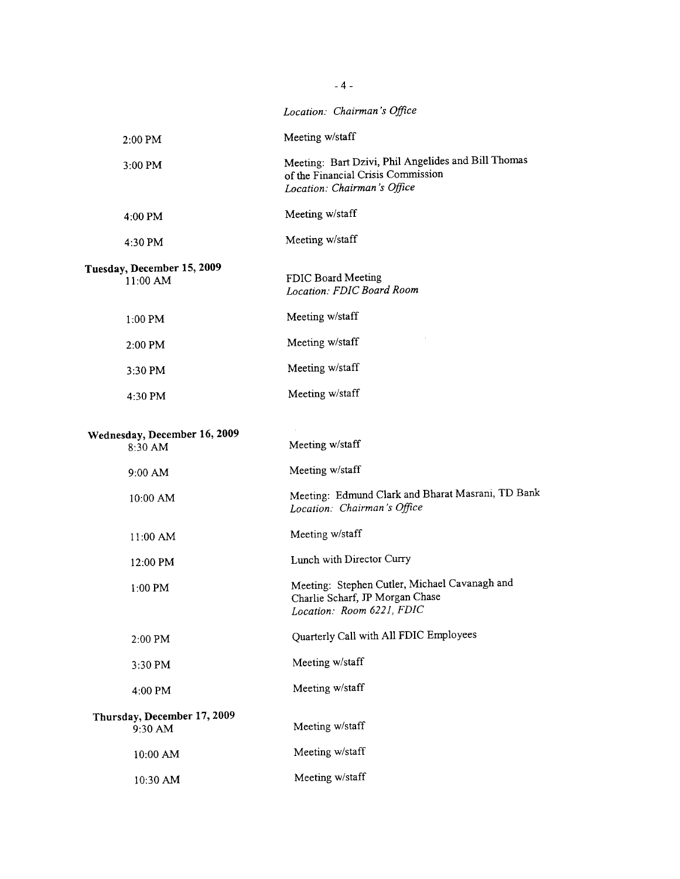|                                         | Location: Chairman's Office                                                                                              |
|-----------------------------------------|--------------------------------------------------------------------------------------------------------------------------|
| $2:00$ PM                               | Meeting w/staff                                                                                                          |
| 3:00 PM                                 | Meeting: Bart Dzivi, Phil Angelides and Bill Thomas<br>of the Financial Crisis Commission<br>Location: Chairman's Office |
| 4:00 PM                                 | Meeting w/staff                                                                                                          |
| 4:30 PM                                 | Meeting w/staff                                                                                                          |
| Tuesday, December 15, 2009<br>11:00 AM  | FDIC Board Meeting<br>Location: FDIC Board Room                                                                          |
| $1:00$ PM                               | Meeting w/staff                                                                                                          |
| 2:00 PM                                 | Meeting w/staff                                                                                                          |
| 3:30 PM                                 | Meeting w/staff                                                                                                          |
| 4:30 PM                                 | Meeting w/staff                                                                                                          |
| Wednesday, December 16, 2009<br>8:30 AM | Meeting w/staff                                                                                                          |
| $9:00$ AM                               | Meeting w/staff                                                                                                          |
| 10:00 AM                                | Meeting: Edmund Clark and Bharat Masrani, TD Bank<br>Location: Chairman's Office                                         |
| $11:00$ AM                              | Meeting w/staff                                                                                                          |
| 12:00 PM                                | Lunch with Director Curry                                                                                                |
| 1:00 PM                                 | Meeting: Stephen Cutler, Michael Cavanagh and<br>Charlie Scharf, JP Morgan Chase<br>Location: Room 6221, FDIC            |
| 2:00 PM                                 | Quarterly Call with All FDIC Employees                                                                                   |
| 3:30 PM                                 | Meeting w/staff                                                                                                          |
| 4:00 PM                                 | Meeting w/staff                                                                                                          |
| Thursday, December 17, 2009<br>9:30 AM  | Meeting w/staff                                                                                                          |
| 10:00 AM                                | Meeting w/staff                                                                                                          |
| 10:30 AM                                | Meeting w/staff                                                                                                          |

 $-4 -$